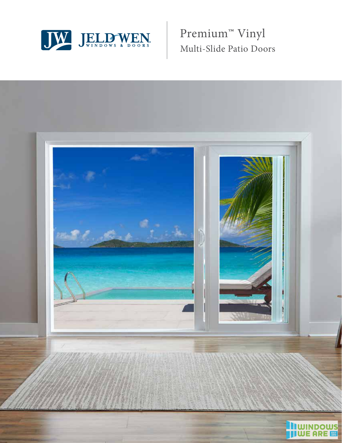

Premium**™** Vinyl Multi-Slide Patio Doors

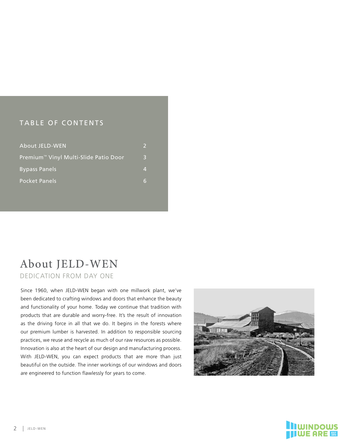## TABLE OF CONTENTS

| About JELD-WEN                                    | D |
|---------------------------------------------------|---|
| Premium <sup>™</sup> Vinyl Multi-Slide Patio Door | R |
| <b>Bypass Panels</b>                              | Λ |
| <b>Pocket Panels</b>                              | 6 |

## About JELD-WEN DEDICATION FROM DAY ONE

Since 1960, when JELD-WEN began with one millwork plant, we've been dedicated to crafting windows and doors that enhance the beauty and functionality of your home. Today we continue that tradition with products that are durable and worry-free. It's the result of innovation as the driving force in all that we do. It begins in the forests where our premium lumber is harvested. In addition to responsible sourcing practices, we reuse and recycle as much of our raw resources as possible. Innovation is also at the heart of our design and manufacturing process. With JELD-WEN, you can expect products that are more than just beautiful on the outside. The inner workings of our windows and doors are engineered to function flawlessly for years to come.



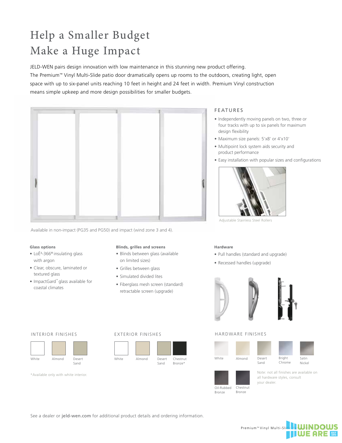# Help a Smaller Budget Make a Huge Impact

JELD-WEN pairs design innovation with low maintenance in this stunning new product offering. The Premium™ Vinyl Multi-Slide patio door dramatically opens up rooms to the outdoors, creating light, open space with up to six-panel units reaching 10 feet in height and 24 feet in width. Premium Vinyl construction means simple upkeep and more design possibilities for smaller budgets.



Available in non-impact (PG35 and PG50) and impact (wind zone 3 and 4).

### **Glass options**

- Lo $E$ <sup>3</sup>-366<sup>®</sup> insulating glass with argon
- Clear, obscure, laminated or textured glass
- ImpactGard™ glass available for coastal climates

### **Blinds, grilles and screens**

- Blinds between glass (available on limited sizes)
- Grilles between glass
- Simulated divided lites
- Fiberglass mesh screen (standard) retractable screen (upgrade)

### FEATURES

- Independently moving panels on two, three or four tracks with up to six panels for maximum design flexibility
- Maximum size panels: 5'x8' or 4'x10'
- Multipoint lock system aids security and product performance
- Easy installation with popular sizes and configurations



Adjustable Stainless Steel Rollers

### **Hardware**

- Pull handles (standard and upgrade)
- Recessed handles (upgrade)



### HARDWARE FINISHES



Desert Sand



## Oil-Rubbed Bronze

Chestnut Bronze

Note: not all finishes are available on all hardware styles, consult your dealer.

| White | Almond | Desert | White |
|-------|--------|--------|-------|
|       |        | Sand   |       |

\*Available only with white interior.

### INTERIOR FINISHES EXTERIOR FINISHES



See a dealer or jeld-wen.com for additional product details and ordering information.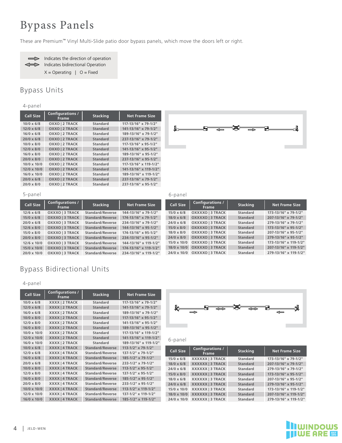### Bypass Panels y pass r a

These are Premium™ Vinyl Multi-Slide patio door bypass panels, which move the doors left or right.



Indicates the direction of operation Indicates the direction of operation Indicates bidirectional Operation  $X =$  Operating | O = Fixed

## Bypass Units

### 4-panel

| $4$ -panei         |                                  |                 |                       |
|--------------------|----------------------------------|-----------------|-----------------------|
| <b>Call Size</b>   | <b>Configurations /</b><br>Frame | <b>Stacking</b> | <b>Net Frame Size</b> |
| $10/0 \times 6/8$  | OXXO   2 TRACK                   | Standard        | 117-13/16" x 79-1/2"  |
| $12/0 \times 6/8$  | OXXO   2 TRACK                   | <b>Standard</b> | 141-13/16" x 79-1/2"  |
| $16/0 \times 6/8$  | OXXO   2 TRACK                   | Standard        | 189-13/16" x 79-1/2"  |
| $20/0 \times 6/8$  | OXXO   2 TRACK                   | <b>Standard</b> | 237-13/16" x 79-1/2"  |
| $10/0 \times 8/0$  | OXXO   2 TRACK                   | Standard        | 117-13/16" x 95-1/2"  |
| $12/0 \times 8/0$  | OXXO   2 TRACK                   | <b>Standard</b> | 141-13/16" x 95-1/2"  |
| $16/0 \times 8/0$  | OXXO   2 TRACK                   | Standard        | 189-13/16" x 95-1/2"  |
| $20/0 \times 8/0$  | OXXO   2 TRACK                   | <b>Standard</b> | 237-13/16" x 95-1/2"  |
| $10/0 \times 10/0$ | OXXO   2 TRACK                   | Standard        | 117-13/16" x 119-1/2" |
| $12/0 \times 10/0$ | OXXO   2 TRACK                   | <b>Standard</b> | 141-13/16" x 119-1/2" |
| $16/0 \times 10/0$ | OXXO   2 TRACK                   | <b>Standard</b> | 189-13/16" x 119-1/2" |
| $20/0 \times 6/8$  | OXXO   2 TRACK                   | <b>Standard</b> | 237-13/16" x 79-1/2"  |
| $20/0 \times 8/0$  | OXXO   2 TRACK                   | <b>Standard</b> | 237-13/16" x 95-1/2"  |



| 5-panel            |                                         |                         |                       | 6-panel            |                               |
|--------------------|-----------------------------------------|-------------------------|-----------------------|--------------------|-------------------------------|
| <b>Call Size</b>   | <b>Configurations /</b><br><b>Frame</b> | <b>Stacking</b>         | <b>Net Frame Size</b> | <b>Call Size</b>   | Configuration<br><b>Frame</b> |
| $12/6 \times 6/8$  | OXXXO   3 TRACK                         | Standard/Reverse        | 144-13/16" x 79-1/2"  | $15/0 \times 6/8$  | OXXXXO   3 TR                 |
| $15/0 \times 6/8$  | OXXXO   3 TRACK                         | <b>Standard/Reverse</b> | 174-13/16" x 79-1/2"  | $18/0 \times 6/8$  | OXXXXO   3 TR                 |
| $20/0 \times 6/8$  | OXXXO   3 TRACK                         | Standard/Reverse        | 234-13/16" x 79-1/2"  | $24/0 \times 6/8$  | OXXXXO   3 TR                 |
| $12/6 \times 8/0$  | OXXXO   3 TRACK                         | Standard/Reverse        | 144-13/16" x 95-1/2"  | $15/0 \times 8/0$  | OXXXXO   3 TR                 |
| $15/0 \times 8/0$  | OXXXO   3 TRACK                         | Standard/Reverse        | 174-13/16" x 95-1/2"  | $18/0 \times 8/0$  | OXXXXO   3 TR                 |
| $20/0 \times 8/0$  | OXXXO   3 TRACK                         | Standard/Reverse        | 234-13/16" x 95-1/2"  | $24/0 \times 8/0$  | OXXXXO   3 TR                 |
| $12/6 \times 10/0$ | OXXXO   3 TRACK                         | Standard/Reverse        | 144-13/16" x 119-1/2" | $15/0 \times 10/0$ | OXXXXO   3 TR                 |
| $15/0 \times 10/0$ | <b>OXXXO   3 TRACK</b>                  | <b>Standard/Reverse</b> | 174-13/16" x 119-1/2" | $18/0 \times 10/0$ | OXXXXO   3 TR                 |
| $20/0 \times 10/0$ | OXXXO   3 TRACK                         | <b>Standard/Reverse</b> | 234-13/16" x 119-1/2" | 24/0 x 10/0        | OXXXXO   3 TR                 |
|                    |                                         |                         |                       |                    |                               |

### O 3 TRACK Standard<br>C 3 TRACK Standard 15/0 x 6/8 **OXXXXO | 3 TRACK Standard 173-13/16" x 79-1/2"** MULTI-SLIDE PATIO DOOR **24/0 x 6/8 OXXXXO | 3 TRACK Standard 279-13/16" x 79-1/2" gurations /**<br>Frame **Frame Stacking Net Frame Size 18/0 x 6/8 OXXXXO | 3 TRACK Standard 207-13/16" x 79-1/2" 15/0 x 8/0 OXXXXO | 3 TRACK Standard 173-13/16" x 95-1/2" 18/0 x 8/0 OXXXXO | 3 TRACK Standard 207-13/16" x 95-1/2" 24/0 x 8/0 OXXXXO | 3 TRACK Standard 279-13/16" x 95-1/2" 15/0 x 10/0 OXXXXO | 3 TRACK Standard 173-13/16" x 119-1/2" 18/0 x 10/0 OXXXXO | 3 TRACK Standard 207-13/16" x 119-1/2" 24/0 x 10/0 OXXXXO | 3 TRACK Standard 279-13/16" x 119-1/2"**

## Bypass Bidirectional Units

### 4-panel

| <b>Call Size</b>   | <b>Configurations /</b><br><b>Frame</b> | <b>Stacking</b>         | <b>Net Frame Size</b>         |                   |                     |
|--------------------|-----------------------------------------|-------------------------|-------------------------------|-------------------|---------------------|
| $10/0 \times 6/8$  | XXXX   2 TRACK                          | <b>Standard</b>         | 117-13/16" x 79-1/2"          |                   |                     |
| $12/0 \times 6/8$  | XXXX   2 TRACK                          | <b>Standard</b>         | 141-13/16" x 79-1/2"          |                   |                     |
| $16/0 \times 6/8$  | XXXX   2 TRACK                          | <b>Standard</b>         | 189-13/16" x 79-1/2"          |                   | <del>जन्म</del> े क |
| $10/0 \times 8/0$  | <b>XXXX   2 TRACK</b>                   | <b>Standard</b>         | 117-13/16" x 95-1/2"          |                   |                     |
| $12/0 \times 8/0$  | XXXX   2 TRACK                          | <b>Standard</b>         | 141-13/16" x 95-1/2"          |                   |                     |
| $16/0 \times 8/0$  | <b>XXXX   2 TRACK</b>                   | <b>Standard</b>         | 189-13/16" x 95-1/2"          |                   |                     |
| 10/0 x 10/0        | XXXX   2 TRACK                          | <b>Standard</b>         | 117-13/16" x 119-1/2"         |                   |                     |
| $12/0 \times 10/0$ | <b>XXXX   2 TRACK</b>                   | <b>Standard</b>         | 141-13/16" x 119-1/2"         | 6-panel           |                     |
| $16/0 \times 10/0$ | XXXX   2 TRACK                          | <b>Standard</b>         | 189-13/16" x 119-1/2"         |                   |                     |
| $10/0 \times 6/8$  | <b>XXXX   4 TRACK</b>                   | <b>Standard/Reverse</b> | 113-1/2" x 79-1/2"            |                   | Configuratio        |
| $12/0 \times 6/8$  | XXXX   4 TRACK                          | <b>Standard/Reverse</b> | 137-1/2" x 79-1/2"            | <b>Call Size</b>  | Frame               |
| $16/0 \times 6/8$  | <b>XXXX   4 TRACK</b>                   | <b>Standard/Reverse</b> | 185-1/2" x 79-1/2"            | $15/0 \times 6/8$ | XXXXXX   3 TI       |
| $20/0 \times 6/8$  | XXXX   4 TRACK                          | <b>Standard/Reverse</b> | 233-1/2" x 79-1/2"            | $18/0 \times 6/8$ | XXXXXX 3 TI         |
| $10/0 \times 8/0$  | <b>XXXX   4 TRACK</b>                   | <b>Standard/Reverse</b> | 113-1/2" x 95-1/2"            | $24/0 \times 6/8$ | XXXXXX   3 TI       |
| $12/0 \times 8/0$  | XXXX   4 TRACK                          | <b>Standard/Reverse</b> | 137-1/2" x 95-1/2"            | $15/0 \times 8/0$ | XXXXXX   3 TI       |
| $16/0 \times 8/0$  | <b>XXXX   4 TRACK</b>                   | <b>Standard/Reverse</b> | 185-1/2" x 95-1/2"            | $18/0 \times 6/8$ | XXXXXX   3 TI       |
| $20/0 \times 8/0$  | XXXX   4 TRACK                          | <b>Standard/Reverse</b> | 233-1/2" x 95-1/2"            | $24/0 \times 6/8$ | XXXXXX   3 TI       |
| $10/0 \times 10/0$ | <b>XXXX   4 TRACK</b>                   | <b>Standard/Reverse</b> | $113 - 1/2$ " x $119 - 1/2$ " | 15/0 x 10/0       | XXXXXX   3 TI       |
| 12/0 x 10/0        | XXXX   4 TRACK                          | <b>Standard/Reverse</b> | 137-1/2" x 119-1/2"           | 18/0 x 10/0       | XXXXXX   3 TI       |
| 16/0 x 10/0        | <b>XXXX   4 TRACK</b>                   | <b>Standard/Reverse</b> | 185-1/2" x 119-1/2"           | 24/0 x 10/0       | XXXXXX   3 TI       |
|                    |                                         |                         |                               |                   |                     |



| $2"$ x 79-1/2"        | <b>Call Size</b>   | <b>Configurations /</b> |                 |                       |
|-----------------------|--------------------|-------------------------|-----------------|-----------------------|
| $2"$ x 79-1/2"        |                    | <b>Frame</b>            | <b>Stacking</b> | <b>Net Frame Size</b> |
| $2"$ x 79-1/2"        | $15/0 \times 6/8$  | XXXXXX   3 TRACK        | <b>Standard</b> | 173-13/16" x 79-1/2"  |
| 2" x 79-1/2"          | $18/0 \times 6/8$  | XXXXXX   3 TRACK        | <b>Standard</b> | 207-13/16" x 79-1/2"  |
| $2" \times 95 - 1/2"$ | $24/0 \times 6/8$  | XXXXXX   3 TRACK        | <b>Standard</b> | 279-13/16" x 79-1/2"  |
| $2"$ x 95-1/2"        | $15/0 \times 8/0$  | XXXXXX   3 TRACK        | <b>Standard</b> | 173-13/16" x 95-1/2"  |
| $2" \times 95 - 1/2"$ | $18/0 \times 6/8$  | XXXXXX 13 TRACK         | Standard        | 207-13/16" x 95-1/2"  |
| $2" \times 95 - 1/2"$ | $24/0 \times 6/8$  | XXXXXX   3 TRACK        | <b>Standard</b> | 279-13/16" x 95-1/2"  |
| $2"$ x 119-1/2"       | $15/0 \times 10/0$ | XXXXXX   3 TRACK        | <b>Standard</b> | 173-13/16" x 119-1/2" |
| $2"$ x 119-1/2"       | $18/0 \times 10/0$ | XXXXXX 13 TRACK         | <b>Standard</b> | 207-13/16" x 119-1/2" |
| 2" x 119-1/2"         | 24/0 x 10/0        | XXXXXX 13 TRACK         | <b>Standard</b> | 279-13/16" x 119-1/2" |
|                       |                    |                         |                 |                       |

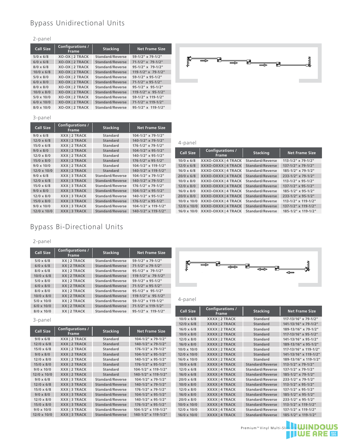## Bypass Unidirectional Units

### 2-panel

| L PUILL           |                                  |                         |                         |
|-------------------|----------------------------------|-------------------------|-------------------------|
| <b>Call Size</b>  | Configurations /<br><b>Frame</b> | <b>Stacking</b>         | <b>Net Frame Size</b>   |
| $5/0 \times 6/8$  | XO-OX   2 TRACK                  | Standard/Reverse        | 59-1/2" x 79-1/2"       |
| $6/0 \times 6/8$  | XO-OX   2 TRACK                  | <b>Standard/Reverse</b> | $71-1/2$ " x $79-1/2$ " |
| $8/0 \times 6/8$  | XO-OX   2 TRACK                  | Standard/Reverse        | $95-1/2$ " x 79-1/2"    |
| $10/0 \times 6/8$ | <b>XO-OX   2 TRACK</b>           | Standard/Reverse        | $119 - 1/2$ " x 79-1/2" |
| $5/0 \times 8/0$  | XO-OX   2 TRACK                  | Standard/Reverse        | $59-1/2$ " x 95-1/2"    |
| $6/0 \times 8/0$  | XO-OX   2 TRACK                  | <b>Standard/Reverse</b> | $71-1/2$ " x 95-1/2"    |
| $8/0 \times 8/0$  | XO-OX   2 TRACK                  | Standard/Reverse        | 95-1/2" x 95-1/2"       |
| $10/0 \times 8/0$ | XO-OX   2 TRACK                  | Standard/Reverse        | $119-1/2$ " x 95-1/2"   |
| $5/0 \times 10/0$ | XO-OX   2 TRACK                  | Standard/Reverse        | 59-1/2" x 119-1/2"      |
| $6/0 \times 10/0$ | <b>XO-OX   2 TRACK</b>           | <b>Standard/Reverse</b> | 71-1/2" x 119-1/2"      |
| $8/0 \times 10/0$ | XO-OX   2 TRACK                  | <b>Standard/Reverse</b> | $95-1/2$ " x 119-1/2"   |



### 3-panel

| <b>Call Size</b>   | <b>Configurations /</b><br><b>Frame</b> | <b>Stacking</b>         | <b>Net Frame Size</b>   |                    |        |
|--------------------|-----------------------------------------|-------------------------|-------------------------|--------------------|--------|
| $9/0 \times 6/8$   | XXX   2 TRACK                           | <b>Standard</b>         | $104 - 1/2$ " x 79-1/2" |                    |        |
| $12/0 \times 6/8$  | XXX   2 TRACK                           | <b>Standard</b>         | 140-1/2" x 79-1/2"      | 4-panel            |        |
| $15/0 \times 6/8$  | XXX   2 TRACK                           | <b>Standard</b>         | $176 - 1/2$ " x 79-1/2" |                    |        |
| $9/0 \times 8/0$   | XXX   2 TRACK                           | <b>Standard</b>         | $104 - 1/2$ " x 95-1/2" | <b>Call Size</b>   |        |
| $12/0 \times 8/0$  | XXX   2 TRACK                           | <b>Standard</b>         | 140-1/2" x 95-1/2"      |                    |        |
| $15/0 \times 8/0$  | XXX   2 TRACK                           | <b>Standard</b>         | $176 - 1/2$ " x 95-1/2" | $10/0 \times 6/8$  | X      |
| $9/0 \times 10/0$  | XXX   2 TRACK                           | <b>Standard</b>         | 104-1/2" x 119-1/2"     | $12/0 \times 6/8$  | X      |
| $12/0 \times 10/0$ | XXX   2 TRACK                           | <b>Standard</b>         | 140-1/2" x 119-1/2"     | $16/0 \times 6/8$  | X      |
| $9/0 \times 6/8$   | XXX   3 TRACK                           | <b>Standard/Reverse</b> | $104 - 1/2$ " x 79-1/2" | $20/0 \times 6/8$  | X      |
| $12/0 \times 6/8$  | <b>XXXI3 TRACK</b>                      | <b>Standard/Reverse</b> | 140-1/2" x 79-1/2"      | $10/0 \times 8/0$  | X      |
| $15/0 \times 6/8$  | XXX   3 TRACK                           | Standard/Reverse        | $176 - 1/2$ " x 79-1/2" | $12/0 \times 8/0$  | X      |
| $9/0 \times 8/0$   | <b>XXXI3 TRACK</b>                      | <b>Standard/Reverse</b> | $104 - 1/2$ " x 95-1/2" | $16/0 \times 8/0$  | X      |
| $12/0 \times 8/0$  | XXX   3 TRACK                           | Standard/Reverse        | 140-1/2" x 95-1/2"      | 20/0 x 8/0         | X      |
| $15/0 \times 8/0$  | XXX   3 TRACK                           | <b>Standard/Reverse</b> | $176 - 1/2$ " x 95-1/2" | $10/0 \times 10/0$ | X      |
| $9/0 \times 10/0$  | XXX   3 TRACK                           | Standard/Reverse        | 104-1/2" x 119-1/2"     | $12/0 \times 10/0$ | X      |
| 12/0 x 10/0        | <b>XXXI3 TRACK</b>                      | <b>Standard/Reverse</b> | 140-1/2" x 119-1/2"     | $16/0 \times 10/0$ | $\chi$ |
|                    |                                         |                         |                         |                    |        |

| $1/2$ " x 95-1/2"<br>$1/2$ " x 95-1/2" | <b>Call Size</b>   | <b>Configurations /</b><br><b>Frame</b>          | <b>Stacking</b>         | <b>Net Frame Size</b>         |
|----------------------------------------|--------------------|--------------------------------------------------|-------------------------|-------------------------------|
| $1/2$ " x 95-1/2"                      | $10/0 \times 6/8$  | XXXO-OXXX   4 TRACK Standard/Reverse             |                         | $113 - 1/2$ " x 79-1/2"       |
| $1/2$ " x 119-1/2"                     | $12/0 \times 6/8$  | XXXO-OXXX   4 TRACK                              | <b>Standard/Reverse</b> | $137 - 1/2$ " x 79-1/2"       |
| $1/2$ " x 119-1/2"                     | $16/0 \times 6/8$  | XXXO-OXXX   4 TRACK Standard/Reverse             |                         | 185-1/2" x 79-1/2"            |
| $1/2$ " x 79-1/2"                      | $20/0 \times 6/8$  | XXXO-OXXX   4 TRACK                              | <b>Standard/Reverse</b> | 233-1/2" x 79-1/2"            |
| $1/2$ " x 79-1/2"                      | $10/0 \times 8/0$  | XXXO-OXXX   4 TRACK Standard/Reverse             |                         | $113 - 1/2$ " x 95-1/2"       |
| $1/2$ " x 79-1/2"                      | $12/0 \times 8/0$  | XXXO-OXXX   4 TRACK Standard/Reverse             |                         | $137 - 1/2$ " x 95-1/2"       |
| $1/2$ " x 95-1/2"                      | $16/0 \times 8/0$  | XXXO-OXXX   4 TRACK Standard/Reverse             |                         | $185 - 1/2$ " x 95-1/2"       |
| $1/2$ " x 95-1/2"                      | $20/0 \times 8/0$  | XXXO-OXXX   4 TRACK                              | <b>Standard/Reverse</b> | 233-1/2" x 95-1/2"            |
| $1/2$ " x 95-1/2"                      | $10/0 \times 10/0$ | XXXO-OXXX   4 TRACK Standard/Reverse             |                         | $113 - 1/2$ " x $119 - 1/2$ " |
| $1/2$ " x 119-1/2"                     |                    | 12/0 x 10/0 XXXO-OXXX   4 TRACK Standard/Reverse |                         | 137-1/2" x 119-1/2"           |
| $1/2$ " x 119-1/2"                     |                    | 16/0 x 10/0 XXXO-OXXX   4 TRACK Standard/Reverse |                         | 185-1/2" x 119-1/2"           |
|                                        |                    |                                                  |                         |                               |

## Bypass Bi-Directional Units

### 2-panel

| <b>Call Size</b>  | <b>Configurations /</b><br><b>Frame</b> | <b>Stacking</b>  | <b>Net Frame Size</b>   |                  |
|-------------------|-----------------------------------------|------------------|-------------------------|------------------|
| $5/0 \times 6/8$  | XXI2 TRACK                              | Standard/Reverse | 59-1/2" x 79-1/2"       |                  |
| $6/0 \times 6/8$  | <b>XXI2 TRACK</b>                       | Standard/Reverse | $71-1/2$ " x 79-1/2"    |                  |
| $8/0 \times 6/8$  | XXI2 TRACK                              | Standard/Reverse | $95-1/2$ " x 79-1/2"    |                  |
| $10/0 \times 6/8$ | <b>XXI2 TRACK</b>                       | Standard/Reverse | 119-1/2" x 79-1/2"      |                  |
| $5/0 \times 8/0$  | XXI2 TRACK                              | Standard/Reverse | 59-1/2" x 95-1/2"       |                  |
| $6/0 \times 8/0$  | XXI2 TRACK                              | Standard/Reverse | $71-1/2$ " x 95-1/2"    |                  |
| $8/0 \times 8/0$  | XXI2 TRACK                              | Standard/Reverse | $95-1/2$ " x $95-1/2$ " |                  |
| $10/0 \times 8/0$ | XXI2 TRACK                              | Standard/Reverse | $119 - 1/2$ " x 95-1/2" |                  |
| $5/0 \times 10/0$ | XXI2 TRACK                              | Standard/Reverse | 59-1/2" x 119-1/2"      | 4-panel          |
| $6/0 \times 10/0$ | <b>XXI2 TRACK</b>                       | Standard/Reverse | 71-1/2" x 119-1/2"      |                  |
| $8/0 \times 10/0$ | XXI2 TRACK                              | Standard/Reverse | $95-1/2$ " x 119-1/2"   | <b>Call Size</b> |

### 3-panel

| <b>Call Size</b>   | <b>Configurations /</b><br><b>Frame</b> | <b>Stacking</b>         | <b>Net Frame Size</b>   | 16/0 x |
|--------------------|-----------------------------------------|-------------------------|-------------------------|--------|
|                    |                                         |                         |                         | 10/0 x |
| $9/0 \times 6/8$   | XXX   2 TRACK                           | <b>Standard</b>         | $104 - 1/2$ " x 79-1/2" | 12/0 x |
| $12/0 \times 6/8$  | XXX   2 TRACK                           | <b>Standard</b>         | 140-1/2" x 79-1/2"      | 16/0 x |
| $15/0 \times 6/8$  | XXX   2 TRACK                           | <b>Standard</b>         | 176-1/2" x 79-1/2"      | 10/0 x |
| $9/0 \times 8/0$   | XXX   2 TRACK                           | <b>Standard</b>         | $104 - 1/2$ " x 95-1/2" | 12/0 x |
| $12/0 \times 8/0$  | XXX   2 TRACK                           | <b>Standard</b>         | 140-1/2" x 95-1/2"      | 16/0 x |
| $15/0 \times 8/0$  | <b>XXXI2 TRACK</b>                      | <b>Standard</b>         | 176-1/2" x 95-1/2"      | 10/0 x |
| $9/0 \times 10/0$  | XXX   2 TRACK                           | <b>Standard</b>         | 104-1/2" x 119-1/2"     | 12/0 x |
| $12/0 \times 10/0$ | XXXI2 TRACK                             | <b>Standard</b>         | 140-1/2" x 119-1/2"     | 16/0 x |
| $9/0 \times 6/8$   | XXX   3 TRACK                           | <b>Standard/Reverse</b> | $104 - 1/2$ " x 79-1/2" | 20/0 x |
| $12/0 \times 6/8$  | XXX   3 TRACK                           | <b>Standard/Reverse</b> | 140-1/2" x 79-1/2"      | 10/0 x |
| $15/0 \times 6/8$  | XXX   3 TRACK                           | <b>Standard/Reverse</b> | 176-1/2" x 79-1/2"      | 12/0 x |
| $9/0 \times 8/0$   | XXX   3 TRACK                           | <b>Standard/Reverse</b> | 104-1/2" x 95-1/2"      | 16/0 x |
| $12/0 \times 8/0$  | XXX   3 TRACK                           | <b>Standard/Reverse</b> | 140-1/2" x 95-1/2"      | 20/0 x |
| $15/0 \times 8/0$  | XXX   3 TRACK                           | <b>Standard/Reverse</b> | 176-1/2" x 95-1/2"      | 10/0 x |
| $9/0 \times 10/0$  | XXX   3 TRACK                           | <b>Standard/Reverse</b> | 104-1/2" x 119-1/2"     | 12/0 x |
| $12/0 \times 10/0$ | <b>XXXI3 TRACK</b>                      | <b>Standard/Reverse</b> | 140-1/2" x 119-1/2"     | 16/0 x |

 $F = 2012$   $R = 113$ 



| 14 A IIJ 114<br>/2" x 119-1/2" | <b>Call Size</b>   | Configurations /<br><b>Frame</b> | <b>Stacking</b>         | <b>Net Frame Size</b>   |
|--------------------------------|--------------------|----------------------------------|-------------------------|-------------------------|
|                                | $10/0 \times 6/8$  | XXXX   2 TRACK                   | <b>Standard</b>         | 117-13/16" x 79-1/2"    |
|                                | $12/0 \times 6/8$  | XXXX   2 TRACK                   | <b>Standard</b>         | 141-13/16" x 79-1/2"    |
|                                | $16/0 \times 6/8$  | XXXX   2 TRACK                   | <b>Standard</b>         | 189-13/16" x 79-1/2"    |
| et Frame Size                  | $10/0 \times 8/0$  | XXXX   2 TRACK                   | <b>Standard</b>         | 117-13/16" x 95-1/2"    |
| $1 - 1/2$ " x 79-1/2"          | $12/0 \times 8/0$  | XXXX   2 TRACK                   | <b>Standard</b>         | 141-13/16" x 95-1/2"    |
| $-1/2$ " x 79-1/2"             | $16/0 \times 8/0$  | <b>XXXX   2 TRACK</b>            | <b>Standard</b>         | 189-13/16" x 95-1/2"    |
| $5 - 1/2$ " x 79-1/2"          | $10/0 \times 10/0$ | XXXX   2 TRACK                   | <b>Standard</b>         | 117-13/16" x 119-1/2"   |
| $1 - 1/2$ " x 95-1/2"          | 12/0 x 10/0        | XXXX   2 TRACK                   | <b>Standard</b>         | 141-13/16" x 119-1/2"   |
| $-1/2$ " x 95-1/2"             | 16/0 x 10/0        | XXXX   2 TRACK                   | <b>Standard</b>         | 189-13/16" x 119-1/2"   |
| $5-1/2$ " x 95-1/2"            | $10/0 \times 6/8$  | <b>XXXX   4 TRACK</b>            | <b>Standard/Reverse</b> | 113-1/2" x 79-1/2"      |
| $-1/2$ " x 119-1/2"            | $12/0 \times 6/8$  | XXXX   4 TRACK                   | <b>Standard/Reverse</b> | 137-1/2" x 79-1/2"      |
| $-1/2$ " x 119-1/2"            | $16/0 \times 6/8$  | <b>XXXX   4 TRACK</b>            | <b>Standard/Reverse</b> | 185-1/2" x 79-1/2"      |
| l-1/2" x 79-1/2"               | $20/0 \times 6/8$  | XXXX   4 TRACK                   | <b>Standard/Reverse</b> | 233-1/2" x 79-1/2"      |
| $-1/2$ " x 79-1/2"             | $10/0 \times 8/0$  | <b>XXXX   4 TRACK</b>            | <b>Standard/Reverse</b> | $113 - 1/2$ " x 95-1/2" |
| $5-1/2$ " x 79-1/2"            | $12/0 \times 8/0$  | <b>XXXX   4 TRACK</b>            | <b>Standard/Reverse</b> | 137-1/2" x 95-1/2"      |
| I-1/2" x 95-1/2"               | $16/0 \times 8/0$  | <b>XXXX   4 TRACK</b>            | <b>Standard/Reverse</b> | 185-1/2" x 95-1/2"      |
| $-1/2$ " x 95-1/2"             | $20/0 \times 8/0$  | <b>XXXX   4 TRACK</b>            | <b>Standard/Reverse</b> | 233-1/2" x 95-1/2"      |
| $5 - 1/2$ " x 95-1/2"          | 10/0 x 10/0        | <b>XXXX   4 TRACK</b>            | <b>Standard/Reverse</b> | 113-1/2" x 119-1/2"     |
| $-1/2$ " x 119-1/2"            | 12/0 x 10/0        | XXXX   4 TRACK                   | <b>Standard/Reverse</b> | 137-1/2" x 119-1/2"     |
| $-1/2$ " x 119-1/2"            | 16/0 x 10/0        | <b>XXXX   4 TRACK</b>            | <b>Standard/Reverse</b> | 185-1/2" x 119-1/2"     |
|                                |                    |                                  |                         |                         |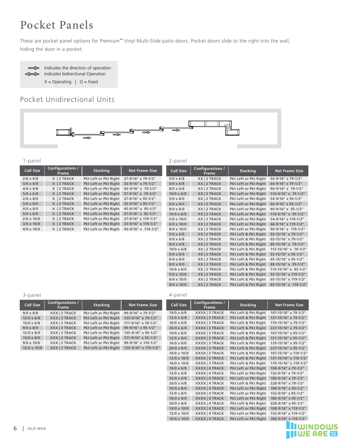### Pocket Panels ocket .

are are nocket nanel These are pocket panel options for Premium™ Vinyl Multi-Slide patio doors. Pocket doors slide to the right into the wall, hiding the door in a pocket.



## Pocket Unidirectional Units



4-panel

### 4 Panel - PXX-XXP

Indicates the direction of operation **5/0 x 6/8 X | 2 TRACK Pkt Left or Pkt Right 57-9/16" x 79-1/2"** 1-panel Indicates Bi-Directional Operation **3/0 x 8/0 X | 2 TRACK Pkt Left or Pkt Right 33-9/16" x 95-1/2"** 4/0 x 8/0 X 2 TRACK Pkt Left or Pkt Right 45-9/16" x 95-1/2" **Call Size Configurations / Frame Stacking Net Frame Size 2/6 x 6/8 X | 2 TRACK Pkt Left or Pkt Right 27-9/16" x 79-1/2" 3/0 x 6/8 X | 2 TRACK Pkt Left or Pkt Right 33-9/16" x 79-1/2" 4/0 x 6/8 X | 2 TRACK Pkt Left or Pkt Right 45-9/16" x 79-1/2" 2/6 x 8/0 X | 2 TRACK Pkt Left or Pkt Right 27-9/16" x 95-1/2" 5/0 x 8/0 X | 2 TRACK Pkt Left or Pkt Right 57-9/16" x 95-1/2" 2/6 x 10/0 X | 2 TRACK Pkt Left or Pkt Right 27-9/16" x 119-1/2" 3/0 x 10/0 X | 2 TRACK Pkt Left or Pkt Right 33-9/16" x 119-1/2"** Pkt Left or Pkt Right 45-9/16" x 119-1/2" **Call Size Configurations /** 2-panel

| $\mathop{\sf stacking}\nolimits$ | <b>Net Frame Size</b> | <b>Call Size</b>  | Configurations /<br><b>Frame</b> | <b>Stacking</b>              | <b>Net Frame Size</b>      |
|----------------------------------|-----------------------|-------------------|----------------------------------|------------------------------|----------------------------|
| ft or Pkt Right                  | 27-9/16" x 79-1/2"    | $5/0 \times 6/8$  | XX   2 TRACK                     | Pkt Left or Pkt Right        | 54-9/16" x 79-1/2"         |
| ft or Pkt Right                  | 33-9/16" x 79-1/2"    | $6/0 \times 6/8$  | XX   2 TRACK                     | <b>Pkt Left or Pkt Right</b> | 66-9/16" x 79-1/2"         |
| ft or Pkt Right                  | 45-9/16" x 79-1/2"    | $8/0 \times 6/8$  | XX   2 TRACK                     | Pkt Left or Pkt Right        | 90-9/16" x 79-1/2"         |
| ft or Pkt Right                  | 57-9/16" x 79-1/2"    | $10/0 \times 6/8$ | XX   2 TRACK                     | <b>Pkt Left or Pkt Right</b> | $114-9/16" \times 79-1/2"$ |
| ft or Pkt Right                  | 27-9/16" x 95-1/2"    | $5/0 \times 8/0$  | XX   2 TRACK                     | Pkt Left or Pkt Right        | 54-9/16" x 95-1/2"         |
| ft or Pkt Right                  | 33-9/16" x 95-1/2"    | $6/0 \times 8/0$  | XX   2 TRACK                     | Pkt Left or Pkt Right        | 66-9/16" x 95-1/2"         |
| ft or Pkt Right                  | 45-9/16" x 95-1/2"    | $8/0 \times 8/0$  | XX   2 TRACK                     | Pkt Left or Pkt Right        | 90-9/16" x 95-1/2"         |
| ft or Pkt Right                  | 57-9/16" x 95-1/2"    | $10/0 \times 8/0$ | XX   2 TRACK                     | <b>Pkt Left or Pkt Right</b> | 114-9/16" x 95-1/2"        |
| ft or Pkt Right                  | 27-9/16" x 119-1/2"   | $5/0 \times 10/0$ | XX   2 TRACK                     | Pkt Left or Pkt Right        | 54-9/16" x 119-1/2"        |
| ft or Pkt Right                  | 33-9/16" x 119-1/2"   | $6/0 \times 10/0$ | XX   2 TRACK                     | <b>Pkt Left or Pkt Right</b> | 66-9/16" x 119-1/2"        |
| ft or Pkt Right                  | 45-9/16" x 119-1/2"   | $8/0 \times 10/0$ | XX   2 TRACK                     | Pkt Left or Pkt Right        | 90-9/16" x 119-1/2"        |
|                                  |                       | $5/0 \times 6/8$  | XX   2 TRACK                     | Pkt Left & Pkt Right         | 53-15/16" x 79-1/2"        |
|                                  |                       | $6/0 \times 6/8$  | XX   2 TRACK                     | Pkt Left & Pkt Right         | 65-15/16" x 79-1/2"        |
|                                  |                       | $8/0 \times 6/8$  | XX   2 TRACK                     | Pkt Left & Pkt Right         | 89-15/16" x 79-1/2"        |
|                                  |                       | $10/0 \times 6/8$ | XX   2 TRACK                     | Pkt Left & Pkt Right         | 113-15/16" x 79-1/2"       |
|                                  |                       | $5/0 \times 8/0$  | XX   2 TRACK                     | Pkt Left & Pkt Right         | 53-15/16" x 95-1/2"        |
|                                  |                       | $6/0 \times 8/0$  | XX   2 TRACK                     | Pkt Left & Pkt Right         | 65-15/16" x 95-1/2"        |
|                                  |                       | $8/0 \times 8/0$  | XX   2 TRACK                     | Pkt Left & Pkt Right         | 89-15/16" x 95-1/2"        |
|                                  |                       | $10/0 \times 8/0$ | XX   2 TRACK                     | Pkt Left & Pkt Right         | 113-15/16" x 95-1/2"       |
|                                  |                       | $5/0 \times 10/0$ | XX   2 TRACK                     | Pkt Left & Pkt Right         | 53-15/16" x 119-1/2"       |
|                                  |                       | $6/0 \times 10/0$ | XX   2 TRACK                     | Pkt Left & Pkt Right         | 65-15/16" x 119-1/2"       |
|                                  |                       | $8/0 \times 10/0$ | XX   2 TRACK                     | Pkt Left & Pkt Right         | 89-15/16" x 119-1/2"       |

### 3-panel

| <b>Call Size</b>   | <b>Configurations /</b><br><b>Frame</b> | <b>Stacking</b>              | <b>Net Frame Size</b> |
|--------------------|-----------------------------------------|------------------------------|-----------------------|
| $9/0 \times 6/8$   | XXX   3 TRACK                           | <b>Pkt Left or Pkt Right</b> | 99-9/16" x 79-1/2"    |
| $12/0 \times 6/8$  | XXXI3TRACK                              | Pkt Left or Pkt Right        | 135-9/16" x 79-1/2"   |
| $15/0 \times 6/8$  | XXX   3 TRACK                           | Pkt Left or Pkt Right        | 171-9/16" x 79-1/2"   |
| $9/0 \times 8/0$   | XXX   3 TRACK                           | Pkt Left or Pkt Right        | 99-9/16" x 95-1/2"    |
| $12/0 \times 8/0$  | XXX   3 TRACK                           | Pkt Left or Pkt Right        | 135-9/16" x 95-1/2"   |
| $15/0 \times 8/0$  | XXXI3TRACK                              | Pkt Left or Pkt Right        | 171-9/16" x 95-1/2"   |
| $9/0 \times 10/0$  | XXX   3 TRACK                           | Pkt Left or Pkt Right        | 99-9/16" x 119-1/2"   |
| $12/0 \times 10/0$ | XXX   3 TRACK                           | <b>Pkt Left or Pkt Right</b> | 135-9/16" x 119-1/2"  |

| <b>Call Size</b>   | Configurations /<br><b>Frame</b> | <b>Stacking</b>       | <b>Net Frame Size</b> |
|--------------------|----------------------------------|-----------------------|-----------------------|
| $10/0 \times 6/8$  | XXXX   3 TRACK                   | Pkt Left & Pkt Right  | 107-15/16" x 79-1/2"  |
| $12/0 \times 6/8$  | XXXX   3 TRACK                   | Pkt Left & Pkt Right  | 131-15/16" x 79-1/2"  |
| $16/0 \times 6/8$  | XXXX   3 TRACK                   | Pkt Left & Pkt Right  | 179-15/16" x 79-1/2"  |
| $20/0 \times 6/8$  | XXXX   3 TRACK                   | Pkt Left & Pkt Right  | 227-15/16" x 79-1/2"  |
| $10/0 \times 8/0$  | XXXX   3 TRACK                   | Pkt Left & Pkt Right  | 107-15/16" x 95-1/2"  |
| $12/0 \times 8/0$  | XXXX   3 TRACK                   | Pkt Left & Pkt Right  | 131-15/16" x 95-1/2"  |
| $16/0 \times 8/0$  | XXXX   3 TRACK                   | Pkt Left & Pkt Right  | 179-15/16" x 95-1/2"  |
| $20/0 \times 8/0$  | XXXX   3 TRACK                   | Pkt Left & Pkt Right  | 227-15/16" x 95-1/2"  |
| 10/0 x 10/0        | XXXX   3 TRACK                   | Pkt Left & Pkt Right  | 107-15/16" x 119-1/2" |
| 12/0 x 10/0        | XXXX   3 TRACK                   | Pkt Left & Pkt Right  | 131-15/16" x 119-1/2" |
| $16/0 \times 10/0$ | XXXX   3 TRACK                   | Pkt Left & Pkt Right  | 179-15/16" x 119-1/2" |
| $10/0 \times 6/8$  | <b>XXXX   4 TRACK</b>            | Pkt Left or Pkt Right | 108-9/16" x 79-1/2"   |
| $12/0 \times 6/8$  | XXXX   4 TRACK                   | Pkt Left or Pkt Right | 132-9/16" x 79-1/2"   |
| $16/0 \times 6/8$  | <b>XXXX   4 TRACK</b>            | Pkt Left or Pkt Right | 180-9/16" x 79-1/2"   |
| $20/0 \times 6/8$  | XXXX   4 TRACK                   | Pkt Left & Pkt Right  | 228-9/16" x 79-1/2"   |
| $10/0 \times 8/0$  | <b>XXXX   4 TRACK</b>            | Pkt Left or Pkt Right | 108-9/16" x 95-1/2"   |
| $12/0 \times 8/0$  | XXXX   4 TRACK                   | Pkt Left or Pkt Right | 132-9/16" x 95-1/2"   |
| $16/0 \times 8/0$  | <b>XXXX   4 TRACK</b>            | Pkt Left or Pkt Right | 180-9/16" x 95-1/2"   |
| $20/0 \times 8/0$  | <b>XXXX   4 TRACK</b>            | Pkt Left & Pkt Right  | 228-9/16" x 95-1/2"   |
| 10/0 x 10/0        | <b>XXXX   4 TRACK</b>            | Pkt Left or Pkt Right | 108-9/16" x 119-1/2"  |
| 12/0 x 10/0        | <b>XXXX   4 TRACK</b>            | Pkt Left or Pkt Right | 132-9/16" x 119-1/2"  |
| 16/0 x 10/0        | <b>XXXX   4 TRACK</b>            | Pkt Left or Pkt Right | 180-9/16" x 119-1/2"  |

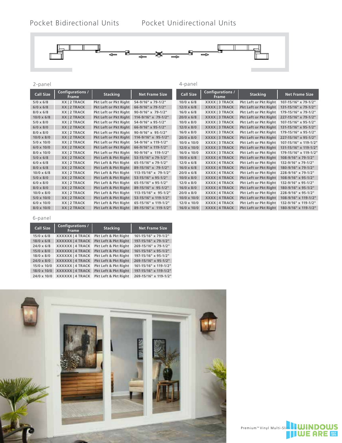4-panel



### 2-panel

| <b>Call Size</b>  | <b>Configurations /</b><br><b>Frame</b> | <b>Stacking</b>              | <b>Net Frame Size</b> | <b>Call Size</b>   | Configurations /<br><b>Frame</b> | <b>Stacking</b>              | <b>Net Frame Size</b> |
|-------------------|-----------------------------------------|------------------------------|-----------------------|--------------------|----------------------------------|------------------------------|-----------------------|
| $5/0 \times 6/8$  | XX   2 TRACK                            | Pkt Left or Pkt Right        | 54-9/16" x 79-1/2"    | $10/0 \times 6/8$  | XXXX   3 TRACK                   | Pkt Left or Pkt Right        | 107-15/16" x 79-1/2"  |
| $6/0 \times 6/8$  | XX   2 TRACK                            | <b>Pkt Left or Pkt Right</b> | 66-9/16" x 79-1/2"    | $12/0 \times 6/8$  | XXXX   3 TRACK                   | <b>Pkt Left or Pkt Right</b> | 131-15/16" x 79-1/2"  |
| $8/0 \times 6/8$  | XX   2 TRACK                            | Pkt Left or Pkt Right        | 90-9/16" x 79-1/2"    | $16/0 \times 6/8$  | XXXX   3 TRACK                   | <b>Pkt Left or Pkt Right</b> | 179-15/16" x 79-1/2"  |
| $10/0 \times 6/8$ | XX   2 TRACK                            | Pkt Left or Pkt Right        | 114-9/16" x 79-1/2"   | $20/0 \times 6/8$  | XXXX   3 TRACK                   | <b>Pkt Left or Pkt Right</b> | 227-15/16" x 79-1/2"  |
| $5/0 \times 8/0$  | XX   2 TRACK                            | Pkt Left or Pkt Right        | 54-9/16" x 95-1/2"    | $10/0 \times 8/0$  | XXXX   3 TRACK                   | Pkt Left or Pkt Right        | 107-15/16" x 95-1/2"  |
| $6/0 \times 8/0$  | XX   2 TRACK                            | Pkt Left or Pkt Right        | 66-9/16" x 95-1/2"    | $12/0 \times 8/0$  | XXXX   3 TRACK                   | Pkt Left or Pkt Right        | 131-15/16" x 95-1/2"  |
| $8/0 \times 8/0$  | XX   2 TRACK                            | Pkt Left or Pkt Right        | 90-9/16" x 95-1/2"    | $16/0 \times 8/0$  | XXXX   3 TRACK                   | Pkt Left or Pkt Right        | 179-15/16" x 95-1/2"  |
| $10/0 \times 8/0$ | XX   2 TRACK                            | <b>Pkt Left or Pkt Right</b> | 114-9/16" x 95-1/2"   | $20/0 \times 8/0$  | XXXX   3 TRACK                   | Pkt Left or Pkt Right        | 227-15/16" x 95-1/2"  |
| $5/0 \times 10/0$ | XX   2 TRACK                            | Pkt Left or Pkt Right        | 54-9/16" x 119-1/2"   | $10/0 \times 10/0$ | XXXX   3 TRACK                   | Pkt Left or Pkt Right        | 107-15/16" x 119-1/2" |
| $6/0 \times 10/0$ | XX   2 TRACK                            | <b>Pkt Left or Pkt Right</b> | 66-9/16" x 119-1/2"   | $12/0 \times 10/0$ | XXXX   3 TRACK                   | Pkt Left or Pkt Right        | 131-15/16" x 119-1/2" |
| 8/0 x 10/0        | XX   2 TRACK                            | Pkt Left or Pkt Right        | 90-9/16" x 119-1/2"   | $16/0 \times 10/0$ | XXXX   3 TRACK                   | Pkt Left or Pkt Right        | 179-15/16" x 119-1/2" |
| $5/0 \times 6/8$  | XX   2 TRACK                            | Pkt Left & Pkt Right         | 53-15/16" x 79-1/2"   | $10/0 \times 6/8$  | <b>XXXX   4 TRACK</b>            | <b>Pkt Left or Pkt Right</b> | 108-9/16" x 79-1/2"   |
| $6/0 \times 6/8$  | XX   2 TRACK                            | Pkt Left & Pkt Right         | 65-15/16" x 79-1/2"   | $12/0 \times 6/8$  | XXXX   4 TRACK                   | Pkt Left or Pkt Right        | 132-9/16" x 79-1/2"   |
| $8/0 \times 6/8$  | XX   2 TRACK                            | Pkt Left & Pkt Right         | 89-15/16" x 79-1/2"   | $16/0 \times 6/8$  | XXXX   4 TRACK                   | <b>Pkt Left or Pkt Right</b> | 180-9/16" x 79-1/2"   |
| $10/0 \times 6/8$ | XX   2 TRACK                            | Pkt Left & Pkt Right         | 113-15/16" x 79-1/2"  | $20/0 \times 6/8$  | XXXX   4 TRACK                   | Pkt Left or Pkt Right        | 228-9/16" x 79-1/2"   |
| $5/0 \times 8/0$  | XX   2 TRACK                            | Pkt Left & Pkt Right         | 53-15/16" x 95-1/2"   | $10/0 \times 8/0$  | XXXX   4 TRACK                   | Pkt Left or Pkt Right        | 108-9/16" x 95-1/2"   |
| $6/0 \times 8/0$  | XX   2 TRACK                            | Pkt Left & Pkt Right         | 65-15/16" x 95-1/2"   | $12/0 \times 8/0$  | XXXX   4 TRACK                   | Pkt Left or Pkt Right        | 132-9/16" x 95-1/2"   |
| $8/0 \times 8/0$  | XX   2 TRACK                            | Pkt Left & Pkt Right         | 89-15/16" x 95-1/2"   | $16/0 \times 8/0$  | XXXX   4 TRACK                   | Pkt Left or Pkt Right        | 180-9/16" x 95-1/2"   |
| $10/0 \times 8/0$ | XX   2 TRACK                            | Pkt Left & Pkt Right         | 113-15/16" x 95-1/2"  | $20/0 \times 8/0$  | XXXX   4 TRACK                   | Pkt Left or Pkt Right        | 228-9/16" x 95-1/2"   |
| $5/0 \times 10/0$ | XX   2 TRACK                            | Pkt Left & Pkt Right         | 53-15/16" x 119-1/2"  | $10/0 \times 10/0$ | XXXX   4 TRACK                   | Pkt Left or Pkt Right        | 108-9/16" x 119-1/2"  |
| $6/0 \times 10/0$ | XX   2 TRACK                            | Pkt Left & Pkt Right         | 65-15/16" x 119-1/2"  | 12/0 x 10/0        | XXXX   4 TRACK                   | Pkt Left or Pkt Right        | 132-9/16" x 119-1/2"  |
| $8/0 \times 10/0$ | XX   2 TRACK                            | Pkt Left & Pkt Right         | 89-15/16" x 119-1/2"  | $16/0 \times 10/0$ | XXXX   4 TRACK                   | Pkt Left or Pkt Right        | 180-9/16" x 119-1/2"  |

### 6-panel

| <b>Call Size</b>   | Configurations /<br><b>Frame</b> | <b>Stacking</b>      | <b>Net Frame Size</b> |
|--------------------|----------------------------------|----------------------|-----------------------|
| $15/0 \times 6/8$  | <b>XXXXXX   4 TRACK</b>          | Pkt Left & Pkt Right | 161-15/16" x 79-1/2"  |
| $18/0 \times 6/8$  | <b>XXXXXX   4 TRACK</b>          | Pkt Left & Pkt Right | 197-15/16" x 79-1/2"  |
| $24/0 \times 6/8$  | <b>XXXXXX   4 TRACK</b>          | Pkt Left & Pkt Right | 269-15/16" x 79-1/2"  |
| $15/0 \times 8/0$  | <b>XXXXXX   4 TRACK</b>          | Pkt Left & Pkt Right | 161-15/16" x 95-1/2"  |
| $18/0 \times 8/0$  | <b>XXXXXX   4 TRACK</b>          | Pkt Left & Pkt Right | 197-15/16" x 95-1/2"  |
| $24/0 \times 8/0$  | <b>XXXXXX 14 TRACK</b>           | Pkt Left & Pkt Right | 269-15/16" x 95-1/2"  |
| $15/0 \times 10/0$ | <b>XXXXXX   4 TRACK</b>          | Pkt Left & Pkt Right | 161-15/16" x 119-1/2" |
| 18/0 x 10/0        | <b>XXXXXX   4 TRACK</b>          | Pkt Left & Pkt Right | 197-15/16" x 119-1/2" |
| 24/0 x 10/0        | <b>XXXXXX   4 TRACK</b>          | Pkt Left & Pkt Right | 269-15/16" x 119-1/2" |